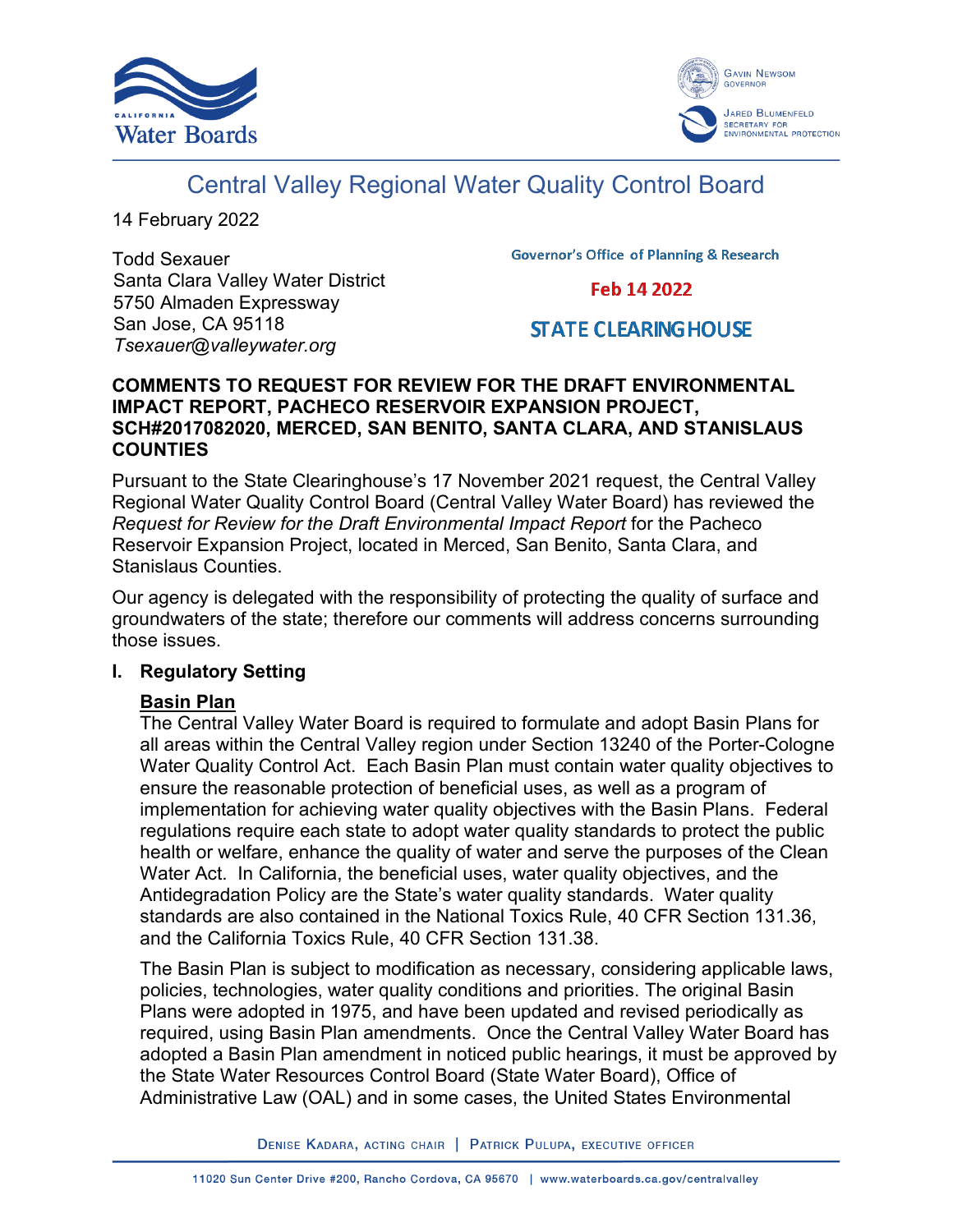



# Central Valley Regional Water Quality Control Board

14 February 2022

Todd Sexauer Santa Clara Valley Water District 5750 Almaden Expressway San Jose, CA 95118 *Tsexauer@valleywater.org*

**Governor's Office of Planning & Research** 

Feb 14 2022

# **STATE CLEARING HOUSE**

#### **COMMENTS TO REQUEST FOR REVIEW FOR THE DRAFT ENVIRONMENTAL IMPACT REPORT, PACHECO RESERVOIR EXPANSION PROJECT, SCH#2017082020, MERCED, SAN BENITO, SANTA CLARA, AND STANISLAUS COUNTIES**

Pursuant to the State Clearinghouse's 17 November 2021 request, the Central Valley Regional Water Quality Control Board (Central Valley Water Board) has reviewed the *Request for Review for the Draft Environmental Impact Report* for the Pacheco Reservoir Expansion Project, located in Merced, San Benito, Santa Clara, and Stanislaus Counties.

Our agency is delegated with the responsibility of protecting the quality of surface and groundwaters of the state; therefore our comments will address concerns surrounding those issues.

#### **I. Regulatory Setting**

#### **Basin Plan**

The Central Valley Water Board is required to formulate and adopt Basin Plans for all areas within the Central Valley region under Section 13240 of the Porter-Cologne Water Quality Control Act. Each Basin Plan must contain water quality objectives to ensure the reasonable protection of beneficial uses, as well as a program of implementation for achieving water quality objectives with the Basin Plans. Federal regulations require each state to adopt water quality standards to protect the public health or welfare, enhance the quality of water and serve the purposes of the Clean Water Act. In California, the beneficial uses, water quality objectives, and the Antidegradation Policy are the State's water quality standards. Water quality standards are also contained in the National Toxics Rule, 40 CFR Section 131.36, and the California Toxics Rule, 40 CFR Section 131.38.

The Basin Plan is subject to modification as necessary, considering applicable laws, policies, technologies, water quality conditions and priorities. The original Basin Plans were adopted in 1975, and have been updated and revised periodically as required, using Basin Plan amendments. Once the Central Valley Water Board has adopted a Basin Plan amendment in noticed public hearings, it must be approved by the State Water Resources Control Board (State Water Board), Office of Administrative Law (OAL) and in some cases, the United States Environmental

DENISE KADARA, ACTING CHAIR | PATRICK PULUPA, EXECUTIVE OFFICER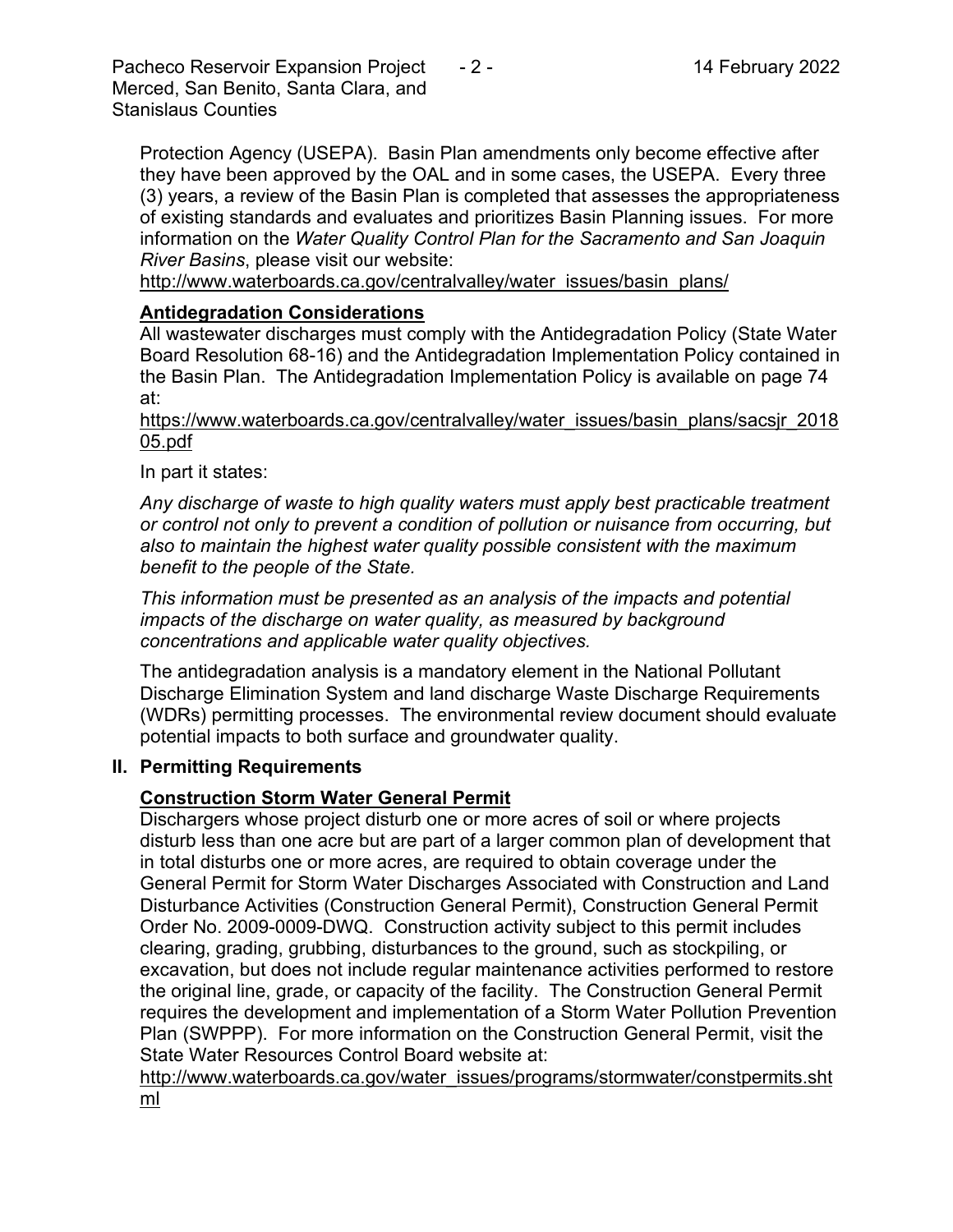Pacheco Reservoir Expansion Project - 2 - 14 February 2022 Merced, San Benito, Santa Clara, and Stanislaus Counties

Protection Agency (USEPA). Basin Plan amendments only become effective after they have been approved by the OAL and in some cases, the USEPA. Every three (3) years, a review of the Basin Plan is completed that assesses the appropriateness of existing standards and evaluates and prioritizes Basin Planning issues. For more information on the *Water Quality Control Plan for the Sacramento and San Joaquin River Basins*, please visit our website:

[http://www.waterboards.ca.gov/centralvalley/water\\_issues/basin\\_plans/](http://www.waterboards.ca.gov/centralvalley/water_issues/basin_plans/)

#### **Antidegradation Considerations**

All wastewater discharges must comply with the Antidegradation Policy (State Water Board Resolution 68-16) and the Antidegradation Implementation Policy contained in the Basin Plan. The Antidegradation Implementation Policy is available on page 74 at:

https://www.waterboards.ca.gov/centralvalley/water\_issues/basin\_plans/sacsjr\_2018 05.pdf

In part it states:

*Any discharge of waste to high quality waters must apply best practicable treatment or control not only to prevent a condition of pollution or nuisance from occurring, but also to maintain the highest water quality possible consistent with the maximum benefit to the people of the State.*

*This information must be presented as an analysis of the impacts and potential impacts of the discharge on water quality, as measured by background concentrations and applicable water quality objectives.*

The antidegradation analysis is a mandatory element in the National Pollutant Discharge Elimination System and land discharge Waste Discharge Requirements (WDRs) permitting processes. The environmental review document should evaluate potential impacts to both surface and groundwater quality.

#### **II. Permitting Requirements**

#### **Construction Storm Water General Permit**

Dischargers whose project disturb one or more acres of soil or where projects disturb less than one acre but are part of a larger common plan of development that in total disturbs one or more acres, are required to obtain coverage under the General Permit for Storm Water Discharges Associated with Construction and Land Disturbance Activities (Construction General Permit), Construction General Permit Order No. 2009-0009-DWQ. Construction activity subject to this permit includes clearing, grading, grubbing, disturbances to the ground, such as stockpiling, or excavation, but does not include regular maintenance activities performed to restore the original line, grade, or capacity of the facility. The Construction General Permit requires the development and implementation of a Storm Water Pollution Prevention Plan (SWPPP). For more information on the Construction General Permit, visit the State Water Resources Control Board website at:

[http://www.waterboards.ca.gov/water\\_issues/programs/stormwater/constpermits.sht](http://www.waterboards.ca.gov/water_issues/programs/stormwater/constpermits.shtml) [ml](http://www.waterboards.ca.gov/water_issues/programs/stormwater/constpermits.shtml)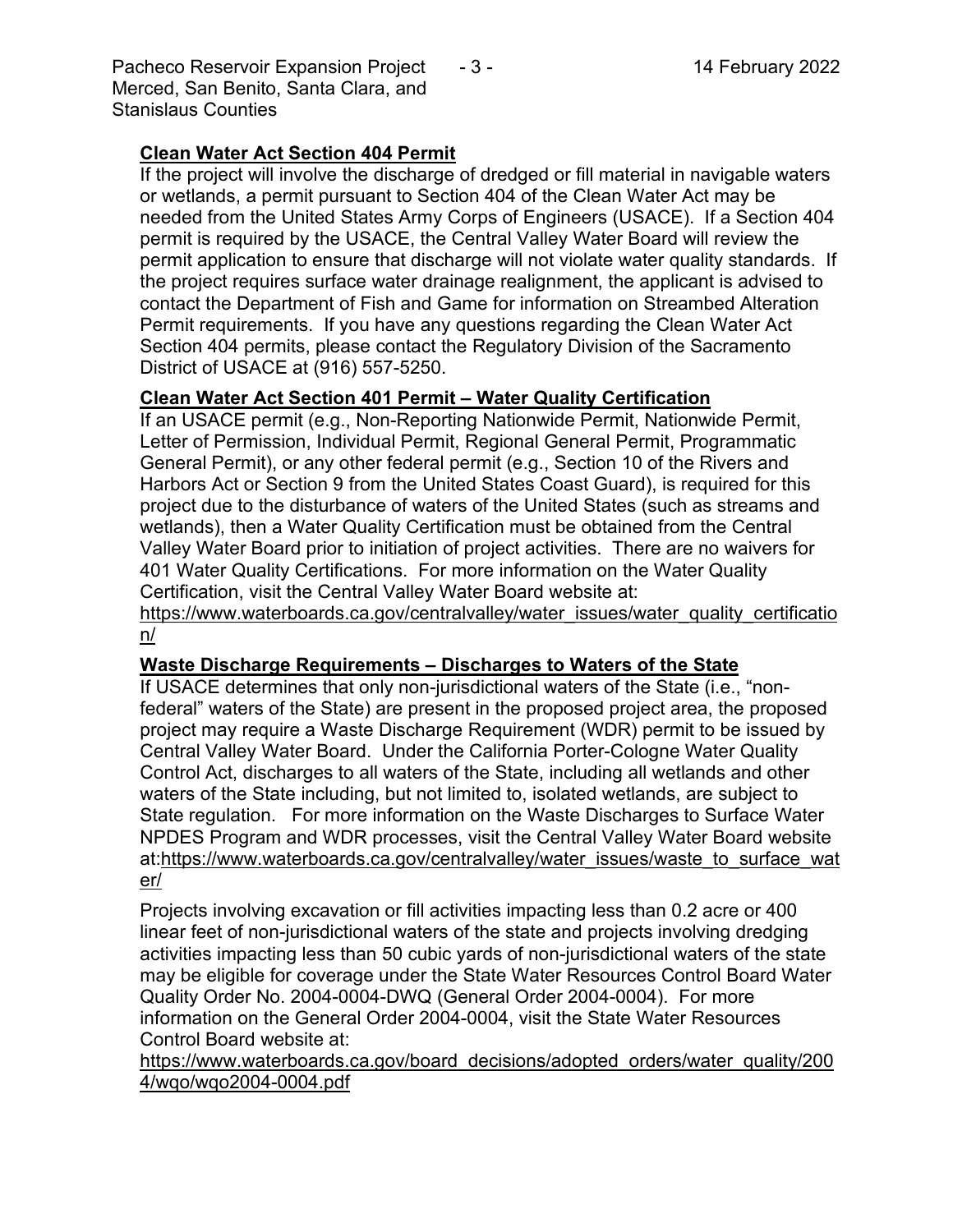Pacheco Reservoir Expansion Project - 3 - 14 February 2022 Merced, San Benito, Santa Clara, and Stanislaus Counties

## **Clean Water Act Section 404 Permit**

If the project will involve the discharge of dredged or fill material in navigable waters or wetlands, a permit pursuant to Section 404 of the Clean Water Act may be needed from the United States Army Corps of Engineers (USACE). If a Section 404 permit is required by the USACE, the Central Valley Water Board will review the permit application to ensure that discharge will not violate water quality standards. If the project requires surface water drainage realignment, the applicant is advised to contact the Department of Fish and Game for information on Streambed Alteration Permit requirements. If you have any questions regarding the Clean Water Act Section 404 permits, please contact the Regulatory Division of the Sacramento District of USACE at (916) 557-5250.

## **Clean Water Act Section 401 Permit – Water Quality Certification**

If an USACE permit (e.g., Non-Reporting Nationwide Permit, Nationwide Permit, Letter of Permission, Individual Permit, Regional General Permit, Programmatic General Permit), or any other federal permit (e.g., Section 10 of the Rivers and Harbors Act or Section 9 from the United States Coast Guard), is required for this project due to the disturbance of waters of the United States (such as streams and wetlands), then a Water Quality Certification must be obtained from the Central Valley Water Board prior to initiation of project activities. There are no waivers for 401 Water Quality Certifications. For more information on the Water Quality Certification, visit the Central Valley Water Board website at:

https://www.waterboards.ca.gov/centralvalley/water\_issues/water\_quality\_certificatio n/

#### **Waste Discharge Requirements – Discharges to Waters of the State**

If USACE determines that only non-jurisdictional waters of the State (i.e., "nonfederal" waters of the State) are present in the proposed project area, the proposed project may require a Waste Discharge Requirement (WDR) permit to be issued by Central Valley Water Board. Under the California Porter-Cologne Water Quality Control Act, discharges to all waters of the State, including all wetlands and other waters of the State including, but not limited to, isolated wetlands, are subject to State regulation. For more information on the Waste Discharges to Surface Water NPDES Program and WDR processes, visit the Central Valley Water Board website at:https://www.waterboards.ca.gov/centralvalley/water\_issues/waste\_to\_surface\_wat er/

Projects involving excavation or fill activities impacting less than 0.2 acre or 400 linear feet of non-jurisdictional waters of the state and projects involving dredging activities impacting less than 50 cubic yards of non-jurisdictional waters of the state may be eligible for coverage under the State Water Resources Control Board Water Quality Order No. 2004-0004-DWQ (General Order 2004-0004). For more information on the General Order 2004-0004, visit the State Water Resources Control Board website at:

https://www.waterboards.ca.gov/board\_decisions/adopted\_orders/water\_quality/200 4/wqo/wqo2004-0004.pdf